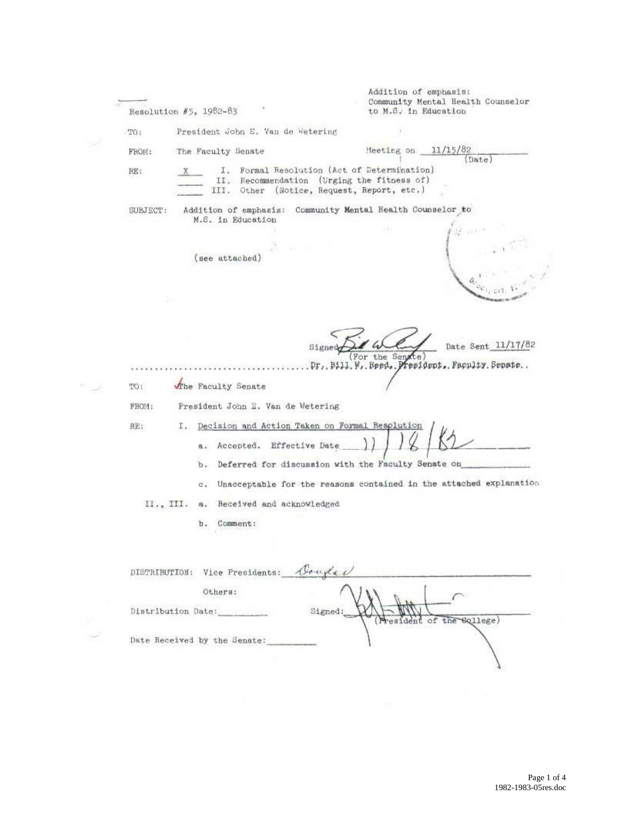|  | Resolution #5, 1982-83                                                                                                                         |                                                                               | Addition of emphasis:<br>Community Mental Health Counselor<br>to M.S. in Education |                    |
|--|------------------------------------------------------------------------------------------------------------------------------------------------|-------------------------------------------------------------------------------|------------------------------------------------------------------------------------|--------------------|
|  | TO:                                                                                                                                            | President John E. Van de Wetering                                             |                                                                                    |                    |
|  | The Faculty Senate<br>FROM:                                                                                                                    |                                                                               | Heeting on $11/15/82$                                                              | (Date)             |
|  | I. Formal Resolution (Act of Determination)<br>RE:<br>II. Recommendation (Urging the fitness of)<br>III. Other (Notice, Request, Report, etc.) |                                                                               |                                                                                    |                    |
|  | SUBJECT:                                                                                                                                       | M.S. in Education<br>(see attached)                                           | Addition of emphasis: Community Mental Health Counselor to<br>(1, 1)               |                    |
|  | The Faculty Senate<br>TO:                                                                                                                      | Signed                                                                        | (For the Senate<br>. Pr., Bill. W. Reed. President. Faculty. Senate                | Date Sent 11/17/82 |
|  | President John E. Van de Wetering<br>FROM:                                                                                                     |                                                                               |                                                                                    |                    |
|  | RE:<br>a.<br>b.                                                                                                                                | I. Decision and Action Taken on Formal Resplution<br>Accepted. Effective Date | Deferred for discussion with the Faculty Senate on                                 |                    |
|  | c.                                                                                                                                             |                                                                               | Unacceptable for the reasons contained in the attached explanation                 |                    |
|  | II., III.<br>a.<br>b.                                                                                                                          | Received and acknowledged<br>Comment:                                         |                                                                                    |                    |
|  |                                                                                                                                                | DISTRIBUTION: Vice Presidents: Bouglet                                        |                                                                                    |                    |
|  | Others:<br>Distribution Date:<br>Signed:<br>ident of the Sqllege)                                                                              |                                                                               |                                                                                    |                    |
|  | Date Received by the Senate:                                                                                                                   |                                                                               |                                                                                    |                    |
|  |                                                                                                                                                |                                                                               |                                                                                    |                    |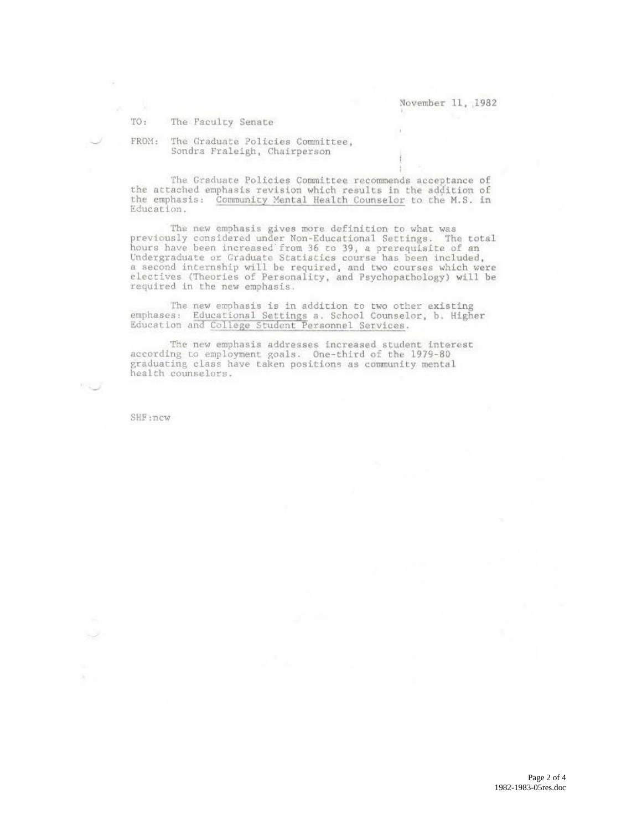November 11, 1982

TO: The Faculty Senate

FROM: The Graduate Policies Committee, Sondra Fraleigh, Chairperson

The Graduate Policies Committee recommends acceptance of the attached emphasis revision which results in the addition of the emphasis: Community Mental Health Counselor to the M.S. in Education.

The new emphasis gives more definition to what was previously considered under Non-Educational Settings. The total<br>hours have been increased from 36 to 39, a prerequisite of an<br>Undergraduate or Graduate Statistics course has been included,<br>a second internship will be requi electives (Theories of Personality, and Psychopathology) will be required in the new emphasis.

The new emphasis is in addition to two other existing emphases: Educational Settings a. School Counselor, b. Higher Education and College Student Personnel Services.

The new emphasis addresses increased student interest<br>according to employment goals. One-third of the 1979-80 graduating class have taken positions as community mental health counselors.

SHF:ncw

 $\mathcal{D} \subset \mathcal{D}$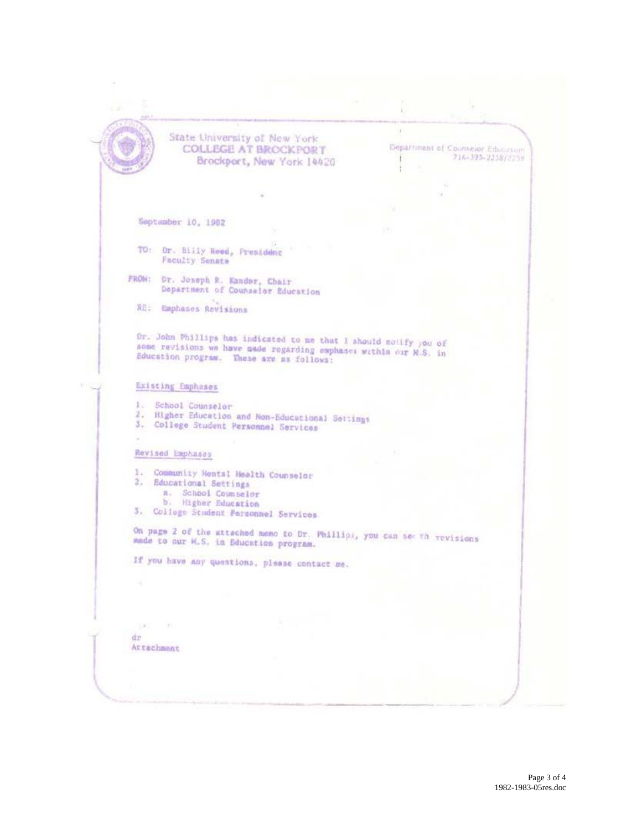$\mathbb{R}^n$ State University of New York Department of Counselor Education **COLLEGE AT BROCKPORT** 716-393-2238/223V Brockport, New York 14420 ř. September 10, 1982 TO: Dr. Billy Reed, Presidenc **Faculty Senate** FROM: Dr. Joseph R. Kander, Chair<br>Department of Counselor Education RE: Emphases Rovisions Or. John Phillips has indicated to me that I should notify you of some revisions we have nade regarding emphases within our N.S. in Education program. These are as follows: Existing Emphases 1. School Counselor<br>2. Higher Education and Non-Educational Settings 3. College Student Personnel Services Rovised Emphases 1. Community Mental Health Counselor 2. Educational Settings a. School Coumselor<br>b. Higher Education 3. Colloge Student Personnel Services On page 2 of the attached memo to Dr. Phillips, you can see th vevisions made to our H.S. in Education program. If you have any questions, please contact me.  $\sim$ dr Attachment